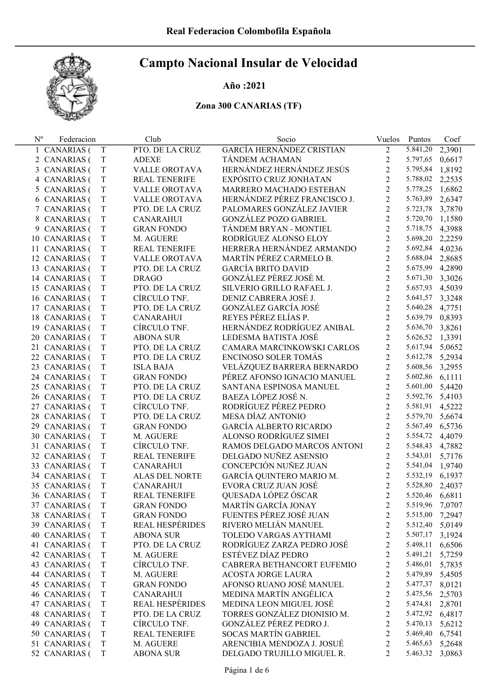### Año :2021

| $N^{\rm o}$ | Federacion    |             | Club                   | Socio                         | Vuelos         | Puntos          | Coef   |
|-------------|---------------|-------------|------------------------|-------------------------------|----------------|-----------------|--------|
|             | 1 CANARIAS (  | T           | PTO. DE LA CRUZ        | GARCÍA HERNÁNDEZ CRISTIAN     | $\overline{2}$ | 5.841,20        | 2,3901 |
|             | 2 CANARIAS (  | T           | <b>ADEXE</b>           | TÁNDEM ACHAMAN                | 2              | 5.797,65        | 0,6617 |
|             | 3 CANARIAS (  | T           | VALLE OROTAVA          | HERNÁNDEZ HERNÁNDEZ JESÚS     | 2              | 5.795,84        | 1,8192 |
|             | 4 CANARIAS (  | T           | <b>REAL TENERIFE</b>   | EXPÓSITO CRUZ JONHATAN        | 2              | 5.788,02        | 2,2535 |
|             | 5 CANARIAS (  | T           | VALLE OROTAVA          | MARRERO MACHADO ESTEBAN       | $\overline{2}$ | 5.778,25        | 1,6862 |
|             | 6 CANARIAS (  | T           | VALLE OROTAVA          | HERNÁNDEZ PÉREZ FRANCISCO J.  | $\overline{2}$ | 5.763,89        | 2,6347 |
|             | 7 CANARIAS (  | T           | PTO. DE LA CRUZ        | PALOMARES GONZÁLEZ JAVIER     | $\overline{2}$ | 5.723,78        | 3,7870 |
|             | 8 CANARIAS (  | T           | <b>CANARAHUI</b>       | <b>GONZÁLEZ POZO GABRIEL</b>  | $\overline{2}$ | 5.720,70        | 1,1580 |
|             | 9 CANARIAS (  | T           | <b>GRAN FONDO</b>      | TÁNDEM BRYAN - MONTIEL        | $\overline{2}$ | 5.718,75        | 4,3988 |
|             | 10 CANARIAS ( | T           | M. AGUERE              | RODRÍGUEZ ALONSO ELOY         | $\overline{2}$ | 5.698,20        | 2,2259 |
|             | 11 CANARIAS ( | T           | <b>REAL TENERIFE</b>   | HERRERA HERNÁNDEZ ARMANDO     | $\overline{2}$ | 5.692,84        | 4,0236 |
|             | 12 CANARIAS ( | T           | VALLE OROTAVA          | MARTÍN PÉREZ CARMELO B.       | 2              | 5.688,04        | 2,8685 |
|             | 13 CANARIAS ( | T           | PTO. DE LA CRUZ        | <b>GARCÍA BRITO DAVID</b>     | $\overline{2}$ | 5.675,99        | 4,2890 |
|             | 14 CANARIAS ( | T           | <b>DRAGO</b>           | GONZÁLEZ PÉREZ JOSÉ M.        | $\overline{2}$ | 5.671,30        | 3,3026 |
|             | 15 CANARIAS ( | T           | PTO. DE LA CRUZ        | SILVERIO GRILLO RAFAEL J.     | $\overline{2}$ | 5.657,93        | 4,5039 |
|             | 16 CANARIAS ( | T           | CÍRCULO TNF.           | DENIZ CABRERA JOSÉ J.         | $\overline{2}$ | 5.641,57 3,3248 |        |
|             | 17 CANARIAS ( | T           | PTO. DE LA CRUZ        | GONZÁLEZ GARCÍA JOSÉ          | $\overline{2}$ | 5.640,28        | 4,7751 |
|             | 18 CANARIAS ( | T           | <b>CANARAHUI</b>       | REYES PÉREZ ELÍAS P.          | $\overline{2}$ | 5.639,79 0,8393 |        |
|             | 19 CANARIAS ( | T           | CÍRCULO TNF.           | HERNÁNDEZ RODRÍGUEZ ANIBAL    | $\overline{2}$ | 5.636,70        | 3,8261 |
|             | 20 CANARIAS ( | T           | <b>ABONA SUR</b>       | LEDESMA BATISTA JOSÉ          | $\overline{2}$ | 5.626,52        | 1,3391 |
|             | 21 CANARIAS ( | T           | PTO. DE LA CRUZ        | CAMARA MARCINKOWSKI CARLOS    | $\overline{2}$ | 5.617,94 5,0652 |        |
|             | 22 CANARIAS ( | T           | PTO. DE LA CRUZ        | ENCINOSO SOLER TOMÁS          | $\overline{2}$ | 5.612,78 5,2934 |        |
|             | 23 CANARIAS ( | T           | <b>ISLA BAJA</b>       | VELÁZQUEZ BARRERA BERNARDO    | $\overline{2}$ | 5.608,56 3,2955 |        |
|             | 24 CANARIAS ( | T           | <b>GRAN FONDO</b>      | PÉREZ AFONSO IGNACIO MANUEL   | 2              | 5.602,86        | 6,1111 |
|             | 25 CANARIAS ( | T           | PTO. DE LA CRUZ        | SANTANA ESPINOSA MANUEL       | 2              | 5.601,00        | 5,4420 |
|             | 26 CANARIAS ( | T           | PTO. DE LA CRUZ        | BAEZA LÓPEZ JOSÉ N.           | $\overline{2}$ | 5.592,76 5,4103 |        |
|             | 27 CANARIAS ( | T           | CÍRCULO TNF.           | RODRÍGUEZ PÉREZ PEDRO         | $\overline{2}$ | 5.581,91 4,5222 |        |
|             | 28 CANARIAS ( | T           | PTO. DE LA CRUZ        | MESA DÍAZ ANTONIO             | $\overline{2}$ | 5.579,70        | 5,6674 |
|             | 29 CANARIAS ( | T           | <b>GRAN FONDO</b>      | <b>GARCÍA ALBERTO RICARDO</b> | $\overline{2}$ | 5.567,49 6,5736 |        |
|             | 30 CANARIAS ( | T           | M. AGUERE              | ALONSO RODRÍGUEZ SIMEI        | $\overline{2}$ | 5.554,72        | 4,4079 |
|             | 31 CANARIAS ( | T           | CÍRCULO TNF.           | RAMOS DELGADO MARCOS ANTONI   | 2              | 5.548,43        | 4,7882 |
|             | 32 CANARIAS ( | T           | <b>REAL TENERIFE</b>   | DELGADO NUÑEZ ASENSIO         | 2              | 5.543,01        | 5,7176 |
|             | 33 CANARIAS ( | T           | <b>CANARAHUI</b>       | CONCEPCIÓN NUÑEZ JUAN         | 2              | 5.541,04        | 1,9740 |
|             | 34 CANARIAS ( | T           | ALAS DEL NORTE         | GARCÍA QUINTERO MARIO M.      | $\overline{c}$ | 5.532,19 6,1937 |        |
|             | 35 CANARIAS ( | T           | <b>CANARAHUI</b>       | EVORA CRUZ JUAN JOSÉ          | $\overline{2}$ | 5.528,80        | 2,4037 |
|             | 36 CANARIAS ( | T           | <b>REAL TENERIFE</b>   | QUESADA LÓPEZ ÓSCAR           | $\overline{2}$ | 5.520,46 6,6811 |        |
|             | 37 CANARIAS ( | $\mathbf T$ | <b>GRAN FONDO</b>      | MARTÍN GARCÍA JONAY           | 2              | 5.519,96        | 7,0707 |
|             | 38 CANARIAS ( | T           | <b>GRAN FONDO</b>      | FUENTES PÉREZ JOSÉ JUAN       | 2              | 5.515,00        | 7,2947 |
|             | 39 CANARIAS ( | T           | <b>REAL HESPÉRIDES</b> | RIVERO MELIÁN MANUEL          | 2              | 5.512,40        | 5,0149 |
|             | 40 CANARIAS ( | T           | <b>ABONA SUR</b>       | TOLEDO VARGAS AYTHAMI         | 2              | 5.507,17        | 3,1924 |
|             | 41 CANARIAS ( | T           | PTO. DE LA CRUZ        | RODRÍGUEZ ZARZA PEDRO JOSÉ    | 2              | 5.498,11        | 6,6506 |
|             | 42 CANARIAS ( | T           | M. AGUERE              | ESTÉVEZ DÍAZ PEDRO            | 2              | 5.491,21        | 5,7259 |
|             | 43 CANARIAS ( | T           | CÍRCULO TNF.           | CABRERA BETHANCORT EUFEMIO    | 2              | 5.486,01        | 5,7835 |
|             | 44 CANARIAS ( | T           | M. AGUERE              | <b>ACOSTA JORGE LAURA</b>     | 2              | 5.479,89        | 5,4505 |
|             | 45 CANARIAS ( | T           | <b>GRAN FONDO</b>      | AFONSO RUANO JOSÉ MANUEL      | 2              | 5.477,37        | 8,0121 |
|             | 46 CANARIAS ( | T           | <b>CANARAHUI</b>       | MEDINA MARTÍN ANGÉLICA        | 2              | 5.475,56        | 2,5703 |
|             | 47 CANARIAS ( | T           | <b>REAL HESPÉRIDES</b> | MEDINA LEON MIGUEL JOSÉ       | 2              | 5.474,81        | 2,8701 |
|             | 48 CANARIAS ( | T           | PTO. DE LA CRUZ        | TORRES GONZÁLEZ DIONISIO M.   | 2              | 5.472,92 6,4817 |        |
|             | 49 CANARIAS ( | T           | CÍRCULO TNF.           | GONZÁLEZ PÉREZ PEDRO J.       | 2              | 5.470,13        | 5,6212 |
|             | 50 CANARIAS ( | T           | REAL TENERIFE          | <b>SOCAS MARTÍN GABRIEL</b>   | 2              | 5.469,40        | 6,7541 |
|             | 51 CANARIAS ( | T           | M. AGUERE              | ARENCIBIA MENDOZA J. JOSUÉ    | 2              | 5.465,63        | 5,2648 |
|             | 52 CANARIAS ( | T           | <b>ABONA SUR</b>       | DELGADO TRUJILLO MIGUEL R.    | 2              | 5.463,32        | 3,0863 |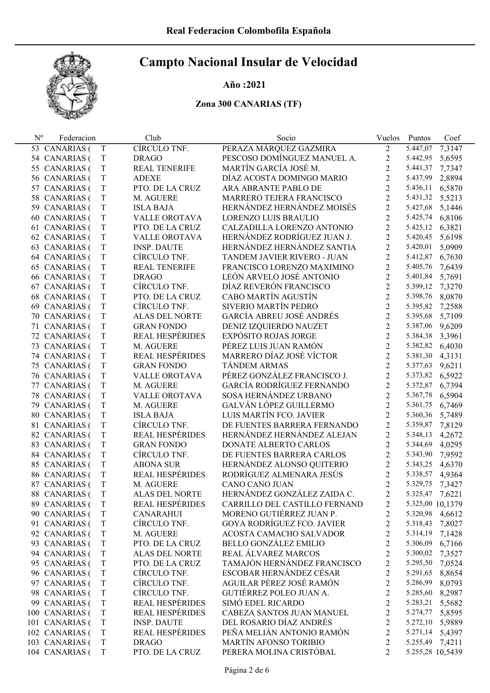## Año :2021

| $\mathbf{N}^{\text{o}}$ | Federacion        |             | Club                   | Socio                             | Vuelos           | Puntos           | Coef   |
|-------------------------|-------------------|-------------|------------------------|-----------------------------------|------------------|------------------|--------|
|                         | 53 CANARIAS (     | T           | CÍRCULO TNF.           | PERAZA MÁRQUEZ GAZMIRA            | $\overline{2}$   | 5.447,07         | 7,3147 |
|                         | 54 CANARIAS (     | T           | <b>DRAGO</b>           | PESCOSO DOMÍNGUEZ MANUEL A.       | $\overline{c}$   | 5.442,95         | 5,6595 |
|                         | 55 CANARIAS (     | $\mathbf T$ | <b>REAL TENERIFE</b>   | MARTÍN GARCÍA JOSÉ M.             | $\overline{2}$   | 5.441,37         | 7,7347 |
|                         | 56 CANARIAS (     | $\mathbf T$ | <b>ADEXE</b>           | DÍAZ ACOSTA DOMINGO MARIO         | $\overline{2}$   | 5.437,99         | 2,8894 |
|                         | 57 CANARIAS (     | $\rm T$     | PTO. DE LA CRUZ        | ARA ABRANTE PABLO DE              | $\overline{2}$   | 5.436,11         | 6,5870 |
|                         | 58 CANARIAS (     | $\mathbf T$ | M. AGUERE              | MARRERO TEJERA FRANCISCO          | $\overline{2}$   | 5.431,32         | 5,5213 |
|                         | 59 CANARIAS (     | $\rm T$     | <b>ISLA BAJA</b>       | HERNÁNDEZ HERNÁNDEZ MOISÉS        | $\overline{2}$   | 5.427,68         | 5,1446 |
|                         | 60 CANARIAS (     | $\mathbf T$ | VALLE OROTAVA          | LORENZO LUIS BRAULIO              | $\overline{2}$   | 5.425,74         | 6,8106 |
|                         | 61 CANARIAS (     | $\rm T$     | PTO. DE LA CRUZ        | CALZADILLA LORENZO ANTONIO        | $\overline{2}$   | 5.425,12         | 6,3821 |
|                         | 62 CANARIAS (     | $\mathbf T$ | VALLE OROTAVA          | HERNÁNDEZ RODRÍGUEZ JUAN J.       | $\overline{2}$   | 5.420,45         | 5,6198 |
|                         | 63 CANARIAS (     | $\mathbf T$ | <b>INSP. DAUTE</b>     | HERNÁNDEZ HERNÁNDEZ SANTIA        | $\overline{2}$   | 5.420,01         | 5,0909 |
|                         | 64 CANARIAS (     | $\mathbf T$ | CÍRCULO TNF.           | TANDEM JAVIER RIVERO - JUAN       | $\overline{2}$   | 5.412,87         | 6,7630 |
|                         | 65 CANARIAS (     | $\mathbf T$ | <b>REAL TENERIFE</b>   | FRANCISCO LORENZO MAXIMINO        | $\overline{2}$   | 5.405,76         | 7,6439 |
|                         | 66 CANARIAS (     | $\rm T$     | <b>DRAGO</b>           | LEÓN ARVELO JOSÉ ANTONIO          | $\overline{2}$   | 5.401,84         | 5,7691 |
|                         | 67 CANARIAS (     | $\mathbf T$ | CÍRCULO TNF.           | DÍAZ REVERÓN FRANCISCO            | $\overline{2}$   | 5.399,12         | 7,3270 |
|                         | 68 CANARIAS (     | $\rm T$     | PTO. DE LA CRUZ        | CABO MARTÍN AGUSTÍN               | $\overline{2}$   | 5.398,76         | 8,0870 |
|                         | 69 CANARIAS (     | $\mathbf T$ | CÍRCULO TNF.           | SIVERIO MARTÍN PEDRO              | $\overline{2}$   | 5.395,82         | 7,2588 |
|                         | 70 CANARIAS (     | $\rm T$     | ALAS DEL NORTE         | GARCÍA ABREU JOSÉ ANDRÉS          | $\overline{2}$   | 5.395,68         | 5,7109 |
|                         | 71 CANARIAS (     | $\mathbf T$ | <b>GRAN FONDO</b>      | DENIZ IZQUIERDO NAUZET            | $\overline{2}$   | 5.387,06         | 9,6209 |
|                         | 72 CANARIAS (     | $\rm T$     | <b>REAL HESPÉRIDES</b> | <b>EXPÓSITO ROJAS JORGE</b>       | $\overline{2}$   | 5.384,38         | 3,3961 |
|                         | 73 CANARIAS (     | $\mathbf T$ | M. AGUERE              | PÉREZ LUIS JUAN RAMÓN             | $\overline{2}$   | 5.382,82         | 6,4030 |
|                         | 74 CANARIAS (     | $\mathbf T$ | REAL HESPÉRIDES        | MARRERO DÍAZ JOSÉ VÍCTOR          | $\overline{2}$   | 5.381,30         | 4,3131 |
|                         | 75 CANARIAS (     | $\mathbf T$ | <b>GRAN FONDO</b>      | <b>TÁNDEM ARMAS</b>               | $\overline{2}$   | 5.377,63         | 9,6211 |
|                         | 76 CANARIAS (     | $\mathbf T$ | VALLE OROTAVA          | PÉREZ GONZÁLEZ FRANCISCO J.       | $\overline{2}$   | 5.373,82 6,5922  |        |
|                         | 77 CANARIAS (     | $\rm T$     | M. AGUERE              | GARCÍA RODRÍGUEZ FERNANDO         | $\overline{2}$   | 5.372,87         | 6,7394 |
|                         | 78 CANARIAS (     | $\mathbf T$ | VALLE OROTAVA          | SOSA HERNÁNDEZ URBANO             | $\overline{2}$   | 5.367,78         | 6,5904 |
|                         | 79 CANARIAS (     | $\mathbf T$ | M. AGUERE              | GALVÁN LÓPEZ GUILLERMO            | $\overline{2}$   | 5.361,75         | 6,7469 |
|                         | 80 CANARIAS (     | $\mathbf T$ | <b>ISLA BAJA</b>       | LUIS MARTÍN FCO. JAVIER           | $\overline{2}$   | 5.360,36         | 5,7489 |
|                         | 81 CANARIAS (     | $\mathbf T$ | CÍRCULO TNF.           | DE FUENTES BARRERA FERNANDO       | $\overline{2}$   | 5.359,87         | 7,8129 |
|                         | 82 CANARIAS (     | $\mathbf T$ | REAL HESPÉRIDES        | HERNÁNDEZ HERNÁNDEZ ALEJAN        | $\overline{2}$   | 5.348,13         | 4,2672 |
|                         | 83 CANARIAS (     | $\mathbf T$ | <b>GRAN FONDO</b>      | DONATE ALBERTO CARLOS             | $\overline{2}$   | 5.344,69         | 4,0295 |
|                         | 84 CANARIAS (     | $\mathbf T$ | CÍRCULO TNF.           | DE FUENTES BARRERA CARLOS         | $\overline{2}$   | 5.343,90         | 7,9592 |
|                         | 85 CANARIAS (     | $\mathbf T$ | <b>ABONA SUR</b>       | HERNÁNDEZ ALONSO QUITERIO         | $\overline{2}$   | 5.343,25         | 4,6370 |
|                         | 86 CANARIAS (     | $\mathbf T$ | <b>REAL HESPÉRIDES</b> | RODRÍGUEZ ALMENARA JESÚS          | $\overline{2}$   | 5.338,57 4,9364  |        |
| 87                      | <b>CANARIAS</b> ( | T           | M. AGUERE              | CANO CANO JUAN                    | $\overline{2}$   | 5.329,75         | 7,3427 |
|                         | 88 CANARIAS (     | T           | <b>ALAS DEL NORTE</b>  | HERNÁNDEZ GONZÁLEZ ZAIDA C.       | $\overline{2}$   | 5.325,47 7,6221  |        |
|                         | 89 CANARIAS (     | $\mathbf T$ | <b>REAL HESPÉRIDES</b> | CARRILLO DEL CASTILLO FERNAND     | 2                | 5.325,00 10,1379 |        |
|                         | 90 CANARIAS (     | T           | <b>CANARAHUI</b>       | MORENO GUTIÉRREZ JUAN P.          | 2                | 5.320,98 4,6612  |        |
|                         | 91 CANARIAS (     | $\mathbf T$ | CÍRCULO TNF.           | <b>GOYA RODRÍGUEZ FCO. JAVIER</b> | $\overline{c}$   | 5.318,43         | 7,8027 |
|                         | 92 CANARIAS (     | $\mathbf T$ | M. AGUERE              | ACOSTA CAMACHO SALVADOR           | $\overline{c}$   | 5.314,19         | 7,1428 |
|                         | 93 CANARIAS (     | $\mathbf T$ | PTO. DE LA CRUZ        | <b>BELLO GONZÁLEZ EMILIO</b>      | $\overline{c}$   | 5.306,09         | 6,7166 |
|                         | 94 CANARIAS (     | $\mathbf T$ | ALAS DEL NORTE         | REAL ÁLVAREZ MARCOS               | $\overline{c}$   | 5.300,02         | 7,3527 |
|                         | 95 CANARIAS (     | $\mathbf T$ | PTO. DE LA CRUZ        | TAMAJÓN HERNÁNDEZ FRANCISCO       | $\overline{c}$   | 5.295,50         | 7,0524 |
|                         | 96 CANARIAS (     | $\mathbf T$ | CÍRCULO TNF.           | ESCOBAR HERNÁNDEZ CÉSAR           | $\overline{c}$   | 5.291,65         | 8,8654 |
|                         | 97 CANARIAS (     | $\mathbf T$ | CÍRCULO TNF.           | AGUILAR PÉREZ JOSÉ RAMÓN          | $\overline{c}$   | 5.286,99         | 8,0793 |
|                         | 98 CANARIAS (     | $\mathbf T$ | CÍRCULO TNF.           | GUTIÉRREZ POLEO JUAN A.           | $\overline{c}$   | 5.285,60         | 8,2987 |
|                         | 99 CANARIAS (     | $\mathbf T$ | <b>REAL HESPÉRIDES</b> | SIMÓ EDEL RICARDO                 | $\mathfrak{2}$   | 5.283,21         | 5,5682 |
|                         | 100 CANARIAS (    | $\mathbf T$ | <b>REAL HESPÉRIDES</b> | CABEZA SANTOS JUAN MANUEL         | $\overline{c}$   | 5.274,77         | 5,8595 |
|                         | 101 CANARIAS (    | $\mathbf T$ | <b>INSP. DAUTE</b>     | DEL ROSARIO DÍAZ ANDRÉS           | $\overline{c}$   | 5.272,10 5,9889  |        |
|                         | 102 CANARIAS (    | $\mathbf T$ | REAL HESPÉRIDES        | PEÑA MELIÁN ANTONIO RAMÓN         | $\overline{c}$   | 5.271,14         | 5,4397 |
|                         | 103 CANARIAS (    | $\rm T$     | <b>DRAGO</b>           | <b>MARTÍN AFONSO TORIBIO</b>      | $\boldsymbol{2}$ | 5.255,49 7,4211  |        |
|                         | 104 CANARIAS (    | $\mathbf T$ | PTO. DE LA CRUZ        | PERERA MOLINA CRISTÓBAL           | $\overline{2}$   | 5.255,28 10,5439 |        |
|                         |                   |             |                        |                                   |                  |                  |        |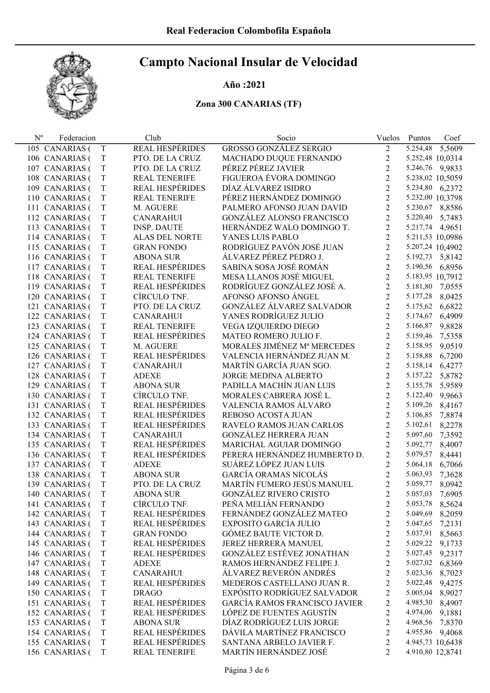## Año :2021

| $N^{\rm o}$ | Federacion     |             | Club                   | Socio                                | Vuelos                  | Puntos           | Coef   |
|-------------|----------------|-------------|------------------------|--------------------------------------|-------------------------|------------------|--------|
|             | 105 CANARIAS ( | T           | <b>REAL HESPÉRIDES</b> | <b>GROSSO GONZÁLEZ SERGIO</b>        | 2                       | 5.254,48         | 5,5609 |
|             | 106 CANARIAS ( | $\mathbf T$ | PTO. DE LA CRUZ        | MACHADO DUQUE FERNANDO               | 2                       | 5.252,48 10,0314 |        |
|             | 107 CANARIAS ( | T           | PTO. DE LA CRUZ        | PÉREZ PÉREZ JAVIER                   | $\overline{2}$          | 5.246,76 9,9833  |        |
|             | 108 CANARIAS ( | T           | REAL TENERIFE          | FIGUEROA ÉVORA DOMINGO               | $\overline{2}$          | 5.238,02 10,5059 |        |
|             | 109 CANARIAS ( | T           | <b>REAL HESPÉRIDES</b> | DÍAZ ÁLVAREZ ISIDRO                  | $\overline{2}$          | 5.234,80 6,2372  |        |
|             | 110 CANARIAS ( | T           | <b>REAL TENERIFE</b>   | PÉREZ HERNÁNDEZ DOMINGO              | $\overline{2}$          | 5.232,00 10,3798 |        |
|             | 111 CANARIAS ( | T           | M. AGUERE              | PALMERO AFONSO JUAN DAVID            | $\overline{2}$          | 5.230,67 8,8586  |        |
|             | 112 CANARIAS ( | T           | <b>CANARAHUI</b>       | <b>GONZÁLEZ ALONSO FRANCISCO</b>     | $\overline{2}$          | 5.220,40 5,7483  |        |
|             | 113 CANARIAS ( | T           | <b>INSP. DAUTE</b>     | HERNÁNDEZ WALO DOMINGO T.            | $\overline{2}$          | 5.217,74 4,9651  |        |
|             | 114 CANARIAS ( | T           | ALAS DEL NORTE         | YANES LUIS PABLO                     | $\overline{2}$          | 5.211,53 10,0986 |        |
|             | 115 CANARIAS ( | T           | <b>GRAN FONDO</b>      | RODRÍGUEZ PAVÓN JOSÉ JUAN            | $\overline{2}$          | 5.207,24 10,4902 |        |
|             | 116 CANARIAS ( | $\rm T$     | <b>ABONA SUR</b>       | ÁLVAREZ PÉREZ PEDRO J.               | $\overline{2}$          | 5.192,73 5,8142  |        |
|             | 117 CANARIAS ( | $\rm T$     | <b>REAL HESPÉRIDES</b> | SABINA SOSA JOSÉ ROMÁN               | $\overline{2}$          | 5.190,56 6,8956  |        |
|             | 118 CANARIAS ( | T           | <b>REAL TENERIFE</b>   | MESA LLANOS JOSÉ MIGUEL              | $\overline{2}$          | 5.183,95 10,7912 |        |
|             | 119 CANARIAS ( | $\rm T$     | <b>REAL HESPÉRIDES</b> | RODRÍGUEZ GONZÁLEZ JOSÉ A.           | $\overline{2}$          | 5.181,80 7,0555  |        |
|             | 120 CANARIAS ( | $\rm T$     | CÍRCULO TNF.           | AFONSO AFONSO ÁNGEL                  | $\overline{2}$          | 5.177,28         | 8,0425 |
|             | 121 CANARIAS ( | T           | PTO. DE LA CRUZ        | GONZÁLEZ ÁLVAREZ SALVADOR            | $\overline{2}$          | 5.175,62         | 6,6822 |
|             | 122 CANARIAS ( | T           | <b>CANARAHUI</b>       | YANES RODRÍGUEZ JULIO                | $\overline{2}$          | 5.174,67         | 6,4909 |
|             | 123 CANARIAS ( | T           | REAL TENERIFE          | VEGA IZQUIERDO DIEGO                 | $\overline{2}$          | 5.166,87         | 9,8828 |
|             | 124 CANARIAS ( | $\rm T$     | REAL HESPÉRIDES        | MATEO ROMERO JULIO F.                | $\overline{2}$          | 5.159,46         | 7,5358 |
|             | 125 CANARIAS ( | T           | M. AGUERE              | MORALES JIMÉNEZ Mª MERCEDES          | $\overline{2}$          | 5.158,95         | 9,0519 |
|             | 126 CANARIAS ( | T           | <b>REAL HESPÉRIDES</b> | VALENCIA HERNÁNDEZ JUAN M.           | $\overline{2}$          | 5.158,88         | 6,7200 |
|             | 127 CANARIAS ( | T           | <b>CANARAHUI</b>       | MARTÍN GARCÍA JUAN SGO.              | $\overline{2}$          | 5.158,14         | 6,4277 |
|             | 128 CANARIAS ( | T           | <b>ADEXE</b>           | <b>JORGE MEDINA ALBERTO</b>          | $\overline{2}$          | 5.157,22         | 5,8782 |
|             | 129 CANARIAS ( | T           | <b>ABONA SUR</b>       | PADILLA MACHÍN JUAN LUIS             | $\overline{2}$          | 5.155,78         | 5,9589 |
|             | 130 CANARIAS ( | T           | CÍRCULO TNF.           | MORALES CABRERA JOSÉ L.              | $\overline{2}$          | 5.122,40         | 9,9663 |
|             | 131 CANARIAS ( | $\rm T$     | REAL HESPÉRIDES        | VALENCIA RAMOS ÁLVARO                | $\overline{2}$          | 5.109,26         | 8,4167 |
|             | 132 CANARIAS ( | $\rm T$     | REAL HESPÉRIDES        | REBOSO ACOSTA JUAN                   | $\overline{2}$          | 5.106,85         | 7,8874 |
|             | 133 CANARIAS ( | T           | REAL HESPÉRIDES        | RAVELO RAMOS JUAN CARLOS             | $\overline{2}$          | 5.102,61         | 8,2278 |
|             | 134 CANARIAS ( | $\rm T$     | <b>CANARAHUI</b>       | <b>GONZÁLEZ HERRERA JUAN</b>         | $\overline{2}$          | 5.097,60         | 7,3592 |
|             | 135 CANARIAS ( | $\rm T$     | <b>REAL HESPÉRIDES</b> | MARICHAL AGUIAR DOMINGO              | $\overline{2}$          | 5.092,77         | 8,4007 |
|             | 136 CANARIAS ( | $\rm T$     | REAL HESPÉRIDES        | PERERA HERNÁNDEZ HUMBERTO D.         | $\overline{2}$          | 5.079,57         | 8,4441 |
|             | 137 CANARIAS ( | T           | <b>ADEXE</b>           | SUÁREZ LÓPEZ JUAN LUIS               | $\overline{2}$          | 5.064,18         | 6,7066 |
|             | 138 CANARIAS ( | T           | <b>ABONA SUR</b>       | <b>GARCÍA ORAMAS NICOLÁS</b>         | $\overline{2}$          | 5.063,93         | 7,3628 |
|             | 139 CANARIAS ( | T           | PTO. DE LA CRUZ        | MARTÍN FUMERO JESÚS MANUEL           | $\overline{2}$          | 5.059,77         | 8,0942 |
|             | 140 CANARIAS ( | T           | <b>ABONA SUR</b>       | <b>GONZÁLEZ RIVERO CRISTO</b>        | $\overline{2}$          | 5.057,03         | 7,6905 |
|             | 141 CANARIAS ( | T           | CÍRCULO TNF.           | PEÑA MELIÁN FERNANDO                 | 2                       | 5.053,78 8,5624  |        |
|             | 142 CANARIAS ( | T           | <b>REAL HESPÉRIDES</b> | FERNÁNDEZ GONZÁLEZ MATEO             | $\overline{\mathbf{c}}$ | 5.049,69         | 8,2059 |
|             | 143 CANARIAS ( | $\mathbf T$ | <b>REAL HESPÉRIDES</b> | EXPOSITO GARCÍA JULIO                | $\overline{2}$          | 5.047,65         | 7,2131 |
|             | 144 CANARIAS ( | T           | <b>GRAN FONDO</b>      | GÓMEZ BAUTE VICTOR D.                | $\overline{2}$          | 5.037,91         | 8,5663 |
|             | 145 CANARIAS ( | T           | <b>REAL HESPÉRIDES</b> | JEREZ HERRERA MANUEL                 | $\overline{c}$          | 5.029,22         | 9,1733 |
|             | 146 CANARIAS ( | $\mathbf T$ | <b>REAL HESPÉRIDES</b> | GONZÁLEZ ESTÉVEZ JONATHAN            | $\overline{c}$          | 5.027,45 9,2317  |        |
|             | 147 CANARIAS ( | T           | <b>ADEXE</b>           | RAMOS HERNÁNDEZ FELIPE J.            | $\overline{c}$          | 5.027,02         | 6,8369 |
|             | 148 CANARIAS ( | T           | <b>CANARAHUI</b>       | ÁLVAREZ REVERÓN ANDRÉS               | $\overline{2}$          | 5.023,36 8,7023  |        |
|             | 149 CANARIAS ( | $\mathbf T$ | <b>REAL HESPÉRIDES</b> | MEDEROS CASTELLANO JUAN R.           | 2                       | 5.022,48 9,4275  |        |
|             | 150 CANARIAS ( | $\mathbf T$ | <b>DRAGO</b>           | EXPÓSITO RODRÍGUEZ SALVADOR          | 2                       | 5.005,04 8,9027  |        |
|             | 151 CANARIAS ( | T           | <b>REAL HESPÉRIDES</b> | <b>GARCÍA RAMOS FRANCISCO JAVIER</b> | 2                       | 4.985,30 8,4907  |        |
|             | 152 CANARIAS ( | T           | <b>REAL HESPÉRIDES</b> | LÓPEZ DE FUENTES AGUSTÍN             | $\overline{c}$          | 4.974,06 9,1881  |        |
|             | 153 CANARIAS ( | T           | <b>ABONA SUR</b>       | DÍAZ RODRÍGUEZ LUIS JORGE            | $\overline{c}$          | 4.968,56 7,8370  |        |
|             | 154 CANARIAS ( | $\rm T$     | <b>REAL HESPÉRIDES</b> | DÁVILA MARTÍNEZ FRANCISCO            | $\overline{c}$          | 4.955,86 9,4068  |        |
|             | 155 CANARIAS ( | T           | <b>REAL HESPÉRIDES</b> | SANTANA ARBELO JAVIER F.             | $\overline{2}$          | 4.945,73 10,6438 |        |
|             | 156 CANARIAS ( | $\mathbf T$ | <b>REAL TENERIFE</b>   | MARTÍN HERNÁNDEZ JOSÉ                | $\overline{2}$          | 4.910,80 12,8741 |        |
|             |                |             |                        |                                      |                         |                  |        |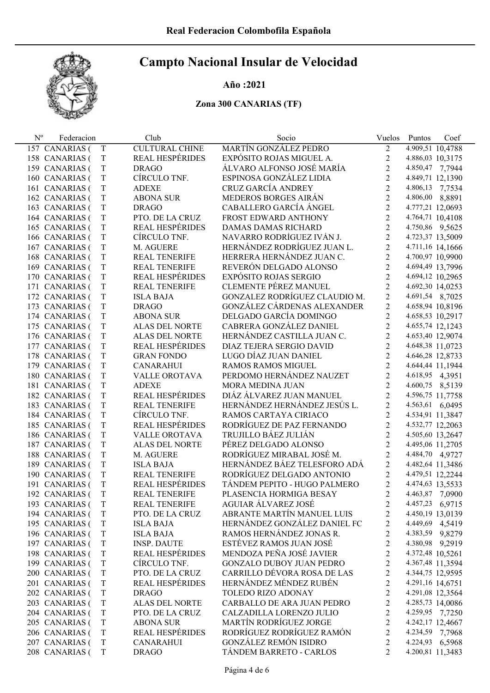### Año :2021

| $N^{\rm o}$ | Federacion     |             | Club                   | Socio                           | Vuelos         | Puntos<br>Coef   |
|-------------|----------------|-------------|------------------------|---------------------------------|----------------|------------------|
|             | 157 CANARIAS ( | T           | <b>CULTURAL CHINE</b>  | MARTÍN GONZÁLEZ PEDRO           | $\overline{2}$ | 4.909,51 10,4788 |
|             | 158 CANARIAS ( | $\mathbf T$ | <b>REAL HESPÉRIDES</b> | EXPÓSITO ROJAS MIGUEL A.        | $\overline{c}$ | 4.886,03 10,3175 |
|             | 159 CANARIAS ( | $\mathbf T$ | <b>DRAGO</b>           | ÁLVARO ALFONSO JOSÉ MARÍA       | $\overline{c}$ | 4.850,47 7,7944  |
|             | 160 CANARIAS ( | $\mathbf T$ | CÍRCULO TNF.           | ESPINOSA GONZÁLEZ LIDIA         | $\overline{c}$ | 4.849,71 12,1390 |
|             | 161 CANARIAS ( | $\mathbf T$ | <b>ADEXE</b>           | <b>CRUZ GARCÍA ANDREY</b>       | $\overline{c}$ | 4.806,13 7,7534  |
|             | 162 CANARIAS ( | $\mathbf T$ | <b>ABONA SUR</b>       | MEDEROS BORGES AIRÁN            | $\overline{c}$ | 4.806,00 8,8891  |
|             | 163 CANARIAS ( | $\mathbf T$ | <b>DRAGO</b>           | CABALLERO GARCÍA ÁNGEL          | $\overline{c}$ | 4.777,21 12,0693 |
|             | 164 CANARIAS ( | $\mathbf T$ | PTO. DE LA CRUZ        | FROST EDWARD ANTHONY            | $\overline{2}$ | 4.764,71 10,4108 |
|             | 165 CANARIAS ( | $\mathbf T$ | <b>REAL HESPÉRIDES</b> | <b>DAMAS DAMAS RICHARD</b>      | $\overline{2}$ | 4.750,86 9,5625  |
|             | 166 CANARIAS ( | $\mathbf T$ | CÍRCULO TNF.           | NAVARRO RODRÍGUEZ IVÁN J.       | $\overline{2}$ | 4.723,37 13,5009 |
|             | 167 CANARIAS ( | $\mathbf T$ | M. AGUERE              | HERNÁNDEZ RODRÍGUEZ JUAN L.     | $\overline{2}$ | 4.711,16 14,1666 |
|             | 168 CANARIAS ( | $\mathbf T$ | <b>REAL TENERIFE</b>   | HERRERA HERNÁNDEZ JUAN C.       | $\overline{2}$ | 4.700,97 10,9900 |
|             | 169 CANARIAS ( | $\mathbf T$ | <b>REAL TENERIFE</b>   | REVERÓN DELGADO ALONSO          | $\overline{2}$ | 4.694,49 13,7996 |
|             | 170 CANARIAS ( | $\mathbf T$ | <b>REAL HESPÉRIDES</b> | <b>EXPÓSITO ROJAS SERGIO</b>    | $\overline{2}$ | 4.694,12 10,2965 |
|             | 171 CANARIAS ( | $\mathbf T$ | REAL TENERIFE          | <b>CLEMENTE PÉREZ MANUEL</b>    | $\overline{2}$ | 4.692,30 14,0253 |
|             | 172 CANARIAS ( | T           | <b>ISLA BAJA</b>       | GONZALEZ RODRÍGUEZ CLAUDIO M.   | $\overline{2}$ | 4.691,54 8,7025  |
|             | 173 CANARIAS ( | $\mathbf T$ | <b>DRAGO</b>           | GONZÁLEZ CÁRDENAS ALEXANDER     | $\overline{2}$ | 4.658,94 10,8196 |
|             | 174 CANARIAS ( | $\mathbf T$ | <b>ABONA SUR</b>       | DELGADO GARCÍA DOMINGO          | $\overline{2}$ | 4.658,53 10,2917 |
|             | 175 CANARIAS ( | $\mathbf T$ | <b>ALAS DEL NORTE</b>  | CABRERA GONZÁLEZ DANIEL         | $\overline{c}$ | 4.655,74 12,1243 |
|             | 176 CANARIAS ( | T           | ALAS DEL NORTE         | HERNÁNDEZ CASTILLA JUAN C.      | $\overline{c}$ | 4.653,40 12,9074 |
|             | 177 CANARIAS ( | $\mathbf T$ | REAL HESPÉRIDES        | <b>DIAZ TEJERA SERGIO DAVID</b> | $\overline{2}$ | 4.648,38 11,0723 |
|             | 178 CANARIAS ( | $\mathbf T$ | <b>GRAN FONDO</b>      | LUGO DÍAZ JUAN DANIEL           | $\overline{2}$ | 4.646,28 12,8733 |
|             | 179 CANARIAS ( | $\mathbf T$ | <b>CANARAHUI</b>       | RAMOS RAMOS MIGUEL              | $\overline{2}$ | 4.644,44 11,1944 |
|             | 180 CANARIAS ( | $\mathbf T$ | VALLE OROTAVA          | PERDOMO HERNÁNDEZ NAUZET        | $\overline{2}$ | 4.618,95 4,3951  |
|             | 181 CANARIAS ( | $\mathbf T$ | <b>ADEXE</b>           | MORA MEDINA JUAN                | $\overline{2}$ | 4.600,75 8,5139  |
|             | 182 CANARIAS ( | $\mathbf T$ | <b>REAL HESPÉRIDES</b> | DIÁZ ÁLVAREZ JUAN MANUEL        | $\overline{2}$ | 4.596,75 11,7758 |
|             | 183 CANARIAS ( | $\mathbf T$ | <b>REAL TENERIFE</b>   | HERNÁNDEZ HERNÁNDEZ JESÚS L.    | $\overline{2}$ | 4.563,61 6,0495  |
|             | 184 CANARIAS ( | $\mathbf T$ | CÍRCULO TNF.           | RAMOS CARTAYA CIRIACO           | $\overline{2}$ | 4.534,91 11,3847 |
|             | 185 CANARIAS ( | $\mathbf T$ | <b>REAL HESPÉRIDES</b> | RODRÍGUEZ DE PAZ FERNANDO       | $\overline{2}$ | 4.532,77 12,2063 |
|             | 186 CANARIAS ( | $\mathbf T$ | VALLE OROTAVA          | TRUJILLO BÁEZ JULIÁN            | $\overline{2}$ | 4.505,60 13,2647 |
|             | 187 CANARIAS ( | T           | ALAS DEL NORTE         | PÉREZ DELGADO ALONSO            | $\overline{c}$ | 4.495,06 11,2705 |
|             | 188 CANARIAS ( | $\mathbf T$ | M. AGUERE              | RODRÍGUEZ MIRABAL JOSÉ M.       | $\overline{2}$ | 4.484,70 4,9727  |
|             | 189 CANARIAS ( | $\mathbf T$ | <b>ISLA BAJA</b>       | HERNÁNDEZ BÁEZ TELESFORO ADÁ    | $\overline{2}$ | 4.482,64 11,3486 |
|             | 190 CANARIAS ( | T           | REAL TENERIFE          | RODRÍGUEZ DELGADO ANTONIO       | $\overline{c}$ | 4.479,51 12,2244 |
|             | 191 CANARIAS ( | T           | REAL HESPÉRIDES        | TÁNDEM PEPITO - HUGO PALMERO    | $\overline{2}$ | 4.474,63 13,5533 |
|             | 192 CANARIAS ( | T           | <b>REAL TENERIFE</b>   | PLASENCIA HORMIGA BESAY         | $\overline{2}$ | 4.463,87 7,0900  |
|             | 193 CANARIAS ( | T           | <b>REAL TENERIFE</b>   | AGUIAR ÁLVAREZ JOSÉ             | 2              | 4.457,23 6,9715  |
|             | 194 CANARIAS ( | T           | PTO. DE LA CRUZ        | ABRANTE MARTÍN MANUEL LUIS      | 2              | 4.450,19 13,0139 |
|             | 195 CANARIAS ( | T           | <b>ISLA BAJA</b>       | HERNÁNDEZ GONZÁLEZ DANIEL FC    | $\overline{c}$ | 4.449,69 4,5419  |
|             | 196 CANARIAS ( | T           | <b>ISLA BAJA</b>       | RAMOS HERNÁNDEZ JONAS R.        | $\overline{c}$ | 4.383,59 9,8279  |
|             | 197 CANARIAS ( | $\mathbf T$ | <b>INSP. DAUTE</b>     | ESTÉVEZ RAMOS JUAN JOSÉ         | $\overline{c}$ | 4.380,98 9,2919  |
|             | 198 CANARIAS ( | T           | <b>REAL HESPÉRIDES</b> | MENDOZA PEÑA JOSÉ JAVIER        | $\overline{c}$ | 4.372,48 10,5261 |
|             | 199 CANARIAS ( | $\mathbf T$ | CÍRCULO TNF.           | <b>GONZALO DUBOY JUAN PEDRO</b> | $\overline{c}$ | 4.367,48 11,3594 |
|             | 200 CANARIAS ( | $\mathbf T$ | PTO. DE LA CRUZ        | CARRILLO DÉVORA ROSA DE LAS     | $\overline{c}$ | 4.344,75 12,9595 |
|             | 201 CANARIAS ( | $\mathbf T$ | <b>REAL HESPÉRIDES</b> | HERNÁNDEZ MÉNDEZ RUBÉN          | $\overline{c}$ | 4.291,16 14,6751 |
|             | 202 CANARIAS ( | T           | <b>DRAGO</b>           | TOLEDO RIZO ADONAY              | $\overline{c}$ | 4.291,08 12,3564 |
|             | 203 CANARIAS ( | $\mathbf T$ | <b>ALAS DEL NORTE</b>  | CARBALLO DE ARA JUAN PEDRO      | $\overline{c}$ | 4.285,73 14,0086 |
|             | 204 CANARIAS ( | $\mathbf T$ | PTO. DE LA CRUZ        | CALZADILLA LORENZO JULIO        | $\overline{c}$ | 4.259,95 7,7250  |
|             | 205 CANARIAS ( | $\mathbf T$ | <b>ABONA SUR</b>       | MARTÍN RODRÍGUEZ JORGE          | $\overline{c}$ | 4.242,17 12,4667 |
|             | 206 CANARIAS ( | T           | REAL HESPÉRIDES        | RODRÍGUEZ RODRÍGUEZ RAMÓN       | $\overline{c}$ | 4.234,59 7,7968  |
|             | 207 CANARIAS ( | $\mathbf T$ | <b>CANARAHUI</b>       | <b>GONZÁLEZ REMÓN ISIDRO</b>    | $\overline{c}$ | 4.224,93 6,5968  |
|             | 208 CANARIAS ( | $\mathbf T$ | <b>DRAGO</b>           | TÁNDEM BARRETO - CARLOS         | $\overline{2}$ | 4.200,81 11,3483 |
|             |                |             |                        |                                 |                |                  |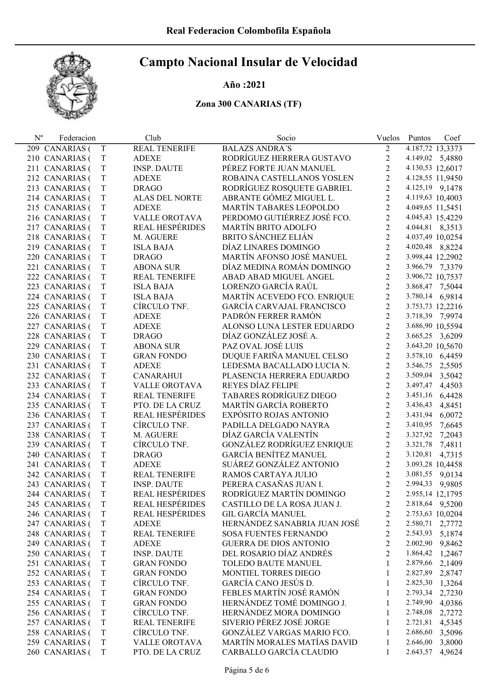## Año :2021

| $\mathrm{N}^{\mathrm{o}}$ | Federacion     |             | Club                   | Socio                          | Vuelos                  | Puntos<br>Coef     |
|---------------------------|----------------|-------------|------------------------|--------------------------------|-------------------------|--------------------|
|                           | 209 CANARIAS ( | T           | <b>REAL TENERIFE</b>   | <b>BALAZS ANDRA'S</b>          | 2                       | 4.187,72 13,3373   |
|                           | 210 CANARIAS ( | T           | <b>ADEXE</b>           | RODRÍGUEZ HERRERA GUSTAVO      | $\overline{c}$          | 4.149,02 5,4880    |
|                           | 211 CANARIAS ( | T           | <b>INSP. DAUTE</b>     | PÉREZ FORTE JUAN MANUEL        | $\overline{c}$          | 4.130,53 12,6017   |
|                           | 212 CANARIAS ( | T           | <b>ADEXE</b>           | ROBAINA CASTELLANOS YOSLEN     | $\overline{2}$          | 4.128,55 11,9450   |
|                           | 213 CANARIAS ( | T           | <b>DRAGO</b>           | RODRÍGUEZ ROSQUETE GABRIEL     | $\overline{2}$          | 4.125,19 9,1478    |
|                           | 214 CANARIAS ( | T           | ALAS DEL NORTE         | ABRANTE GÓMEZ MIGUEL L.        | $\overline{2}$          | 4.119,63 10,4003   |
|                           | 215 CANARIAS ( | T           | <b>ADEXE</b>           | MARTÍN TABARES LEOPOLDO        | $\overline{2}$          | 4.049,65 11,5451   |
|                           | 216 CANARIAS ( | $\mathbf T$ | <b>VALLE OROTAVA</b>   | PERDOMO GUTIÉRREZ JOSÉ FCO.    | $\overline{2}$          | 4.045,43 15,4229   |
|                           | 217 CANARIAS ( | T           | REAL HESPÉRIDES        | <b>MARTÍN BRITO ADOLFO</b>     | $\overline{2}$          | 4.044,81 8,3513    |
|                           | 218 CANARIAS ( | T           | M. AGUERE              | BRITO SÁNCHEZ ELIÁN            | $\overline{2}$          | 4.037,49 10,0254   |
|                           | 219 CANARIAS ( | T           | <b>ISLA BAJA</b>       | DÍAZ LINARES DOMINGO           | $\overline{2}$          | 4.020,48 8,8224    |
|                           | 220 CANARIAS ( | T           | <b>DRAGO</b>           | MARTÍN AFONSO JOSÉ MANUEL      | $\overline{2}$          | 3.998,44 12,2902   |
|                           | 221 CANARIAS ( | T           | <b>ABONA SUR</b>       | DÍAZ MEDINA ROMÁN DOMINGO      | $\overline{2}$          | 3.966,79 7,3379    |
|                           | 222 CANARIAS ( | T           | <b>REAL TENERIFE</b>   | ABAD ABAD MIGUEL ANGEL         | $\overline{2}$          | 3.906,72 10,7537   |
|                           | 223 CANARIAS ( | T           | <b>ISLA BAJA</b>       | LORENZO GARCÍA RAÚL            | $\overline{2}$          | 3.868,47 7,5044    |
|                           | 224 CANARIAS ( | T           | <b>ISLA BAJA</b>       | MARTÍN ACEVEDO FCO. ENRIQUE    | $\overline{2}$          | 3.780,14 6,9814    |
|                           | 225 CANARIAS ( | T           | CÍRCULO TNF.           | GARCÍA CARVAJAL FRANCISCO      | $\overline{2}$          | 3.753,73 12,2216   |
|                           | 226 CANARIAS ( | T           | <b>ADEXE</b>           | PADRÓN FERRER RAMÓN            | $\overline{2}$          | 3.718,39 7,9974    |
|                           | 227 CANARIAS ( | T           | <b>ADEXE</b>           | ALONSO LUNA LESTER EDUARDO     | $\overline{2}$          | 3.686,90 10,5594   |
|                           | 228 CANARIAS ( | T           | <b>DRAGO</b>           | DÍAZ GONZÁLEZ JOSÉ A.          | $\overline{2}$          | 3.665,25 3,6209    |
|                           | 229 CANARIAS ( | T           | <b>ABONA SUR</b>       | PAZ OVAL JOSÉ LUIS             | $\overline{2}$          | 3.643,20 10,5670   |
|                           | 230 CANARIAS ( | T           | <b>GRAN FONDO</b>      | DUQUE FARIÑA MANUEL CELSO      | $\overline{2}$          | 3.578,10 6,4459    |
|                           | 231 CANARIAS ( | T           | <b>ADEXE</b>           | LEDESMA BACALLADO LUCIA N.     | $\overline{2}$          | 3.546,75<br>2,5505 |
|                           | 232 CANARIAS ( | T           | <b>CANARAHUI</b>       | PLASENCIA HERRERA EDUARDO      | $\overline{2}$          | 3.509,04 3,5042    |
|                           | 233 CANARIAS ( | T           | VALLE OROTAVA          | REYES DÍAZ FELIPE              | $\overline{2}$          | 3.497,47 4,4503    |
|                           | 234 CANARIAS ( | T           | <b>REAL TENERIFE</b>   | <b>TABARES RODRÍGUEZ DIEGO</b> | $\overline{2}$          | 3.451,16<br>6,4428 |
|                           | 235 CANARIAS ( | T           | PTO. DE LA CRUZ        | MARTÍN GARCÍA ROBERTO          | $\overline{2}$          | 3.436,43<br>4,8451 |
|                           | 236 CANARIAS ( | T           | <b>REAL HESPÉRIDES</b> | EXPÓSITO ROJAS ANTONIO         | $\overline{2}$          | 3.431,94<br>6,0072 |
|                           | 237 CANARIAS ( | T           | CÍRCULO TNF.           | PADILLA DELGADO NAYRA          | $\overline{2}$          | 3.410,95<br>7,6645 |
|                           | 238 CANARIAS ( | T           | M. AGUERE              | DÍAZ GARCÍA VALENTÍN           | $\overline{2}$          | 3.327,92 7,2043    |
|                           | 239 CANARIAS ( | T           | CÍRCULO TNF.           | GONZÁLEZ RODRÍGUEZ ENRIQUE     | $\overline{2}$          | 3.321,78<br>7,4811 |
|                           | 240 CANARIAS ( | T           | <b>DRAGO</b>           | <b>GARCÍA BENÍTEZ MANUEL</b>   | $\overline{2}$          | 3.120,81<br>4,7315 |
|                           | 241 CANARIAS ( | T           | <b>ADEXE</b>           | SUÁREZ GONZÁLEZ ANTONIO        | $\overline{2}$          | 3.093,28 10,4458   |
|                           | 242 CANARIAS ( | T           | <b>REAL TENERIFE</b>   | RAMOS CARTAYA JULIO            | $\overline{2}$          | 3.081,55 9,0134    |
|                           | 243 CANARIAS ( | T           | <b>INSP. DAUTE</b>     | PERERA CASAÑAS JUAN I.         | $\overline{2}$          | 2.994,33 9,9805    |
|                           | 244 CANARIAS ( | T           | REAL HESPÉRIDES        | RODRÍGUEZ MARTÍN DOMINGO       | $\overline{2}$          | 2.955,14 12,1795   |
|                           | 245 CANARIAS ( | T           | <b>REAL HESPÉRIDES</b> | CASTILLO DE LA ROSA JUAN J.    | 2                       | 2.818,64 9,5200    |
|                           | 246 CANARIAS ( | T           | REAL HESPÉRIDES        | <b>GIL GARCÍA MANUEL</b>       | 2                       | 2.753,63 10,0204   |
|                           | 247 CANARIAS ( | T           | <b>ADEXE</b>           | HERNÁNDEZ SANABRIA JUAN JOSÉ   | $\overline{\mathbf{c}}$ | 2.580,71 2,7772    |
|                           | 248 CANARIAS ( | T           | <b>REAL TENERIFE</b>   | SOSA FUENTES FERNANDO          | $\overline{c}$          | 2.543,93 5,1874    |
|                           | 249 CANARIAS ( | T           | <b>ADEXE</b>           | <b>GUERRA DE DIOS ANTONIO</b>  | $\overline{c}$          | 2.002,90 9,8462    |
|                           | 250 CANARIAS ( | T           | <b>INSP. DAUTE</b>     | DEL ROSARIO DÍAZ ANDRÉS        | $\overline{c}$          | 1.864,42<br>1,2467 |
|                           | 251 CANARIAS ( | T           | <b>GRAN FONDO</b>      | TOLEDO BAUTE MANUEL            | 1                       | 2.879,66<br>2,1409 |
|                           | 252 CANARIAS ( | T           | <b>GRAN FONDO</b>      | MONTIEL TORRES DIEGO           | 1                       | 2.827,89<br>2,8747 |
|                           | 253 CANARIAS ( | T           | CÍRCULO TNF.           | GARCÍA CANO JESÚS D.           | 1                       | 2.825,30<br>1,3264 |
|                           | 254 CANARIAS ( | T           | <b>GRAN FONDO</b>      | FEBLES MARTÍN JOSÉ RAMÓN       | 1                       | 2.793,34<br>2,7230 |
|                           | 255 CANARIAS ( | T           | <b>GRAN FONDO</b>      | HERNÁNDEZ TOMÉ DOMINGO J.      | 1                       | 2.749,90<br>4,0386 |
|                           | 256 CANARIAS ( | T           | CÍRCULO TNF.           | HERNÁNDEZ MORA DOMINGO         | 1                       | 2.748,08<br>2,7272 |
|                           | 257 CANARIAS ( | T           | <b>REAL TENERIFE</b>   | SIVERIO PÉREZ JOSÉ JORGE       | 1                       | 2.721,81<br>4,5345 |
|                           | 258 CANARIAS ( | T           | CÍRCULO TNF.           | GONZÁLEZ VARGAS MARIO FCO.     | 1                       | 2.686,60<br>3,5096 |
|                           | 259 CANARIAS ( | T           | <b>VALLE OROTAVA</b>   | MARTÍN MORALES MATÍAS DAVID    | 1                       | 2.646,00<br>3,8000 |
|                           | 260 CANARIAS ( | T           | PTO. DE LA CRUZ        | CARBALLO GARCÍA CLAUDIO        | 1                       | 2.643,57<br>4,9624 |